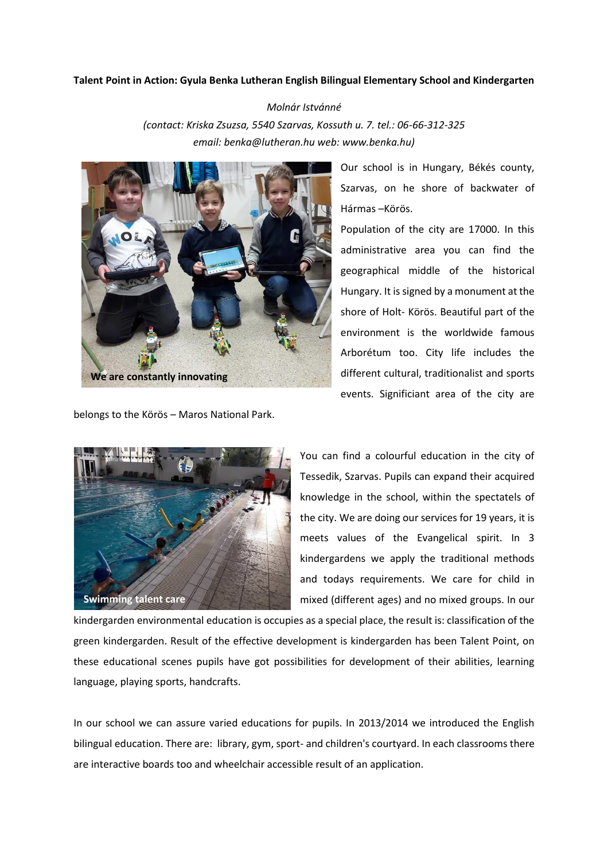## **Talent Point in Action: Gyula Benka Lutheran English Bilingual Elementary School and Kindergarten**

*Molnár Istvánné (contact: Kriska Zsuzsa, 5540 Szarvas, Kossuth u. 7. tel.: 06-66-312-325 email: [benka@lutheran.hu](mailto:benka@lutheran.hu) web: www.benka.hu)*



belongs to the Körös – Maros National Park.

Our school is in Hungary, Békés county, Szarvas, on he shore of backwater of Hármas –Körös.

Population of the city are 17000. In this administrative area you can find the geographical middle of the historical Hungary. It is signed by a monument at the shore of Holt- Körös. Beautiful part of the environment is the worldwide famous Arborétum too. City life includes the different cultural, traditionalist and sports events. Significiant area of the city are



You can find a colourful education in the city of Tessedik, Szarvas. Pupils can expand their acquired knowledge in the school, within the spectatels of the city. We are doing our services for 19 years, it is meets values of the Evangelical spirit. In 3 kindergardens we apply the traditional methods and todays requirements. We care for child in mixed (different ages) and no mixed groups. In our

kindergarden environmental education is occupies as a special place, the result is: classification of the green kindergarden. Result of the effective development is kindergarden has been Talent Point, on these educational scenes pupils have got possibilities for development of their abilities, learning language, playing sports, handcrafts.

In our school we can assure varied educations for pupils. In 2013/2014 we introduced the English bilingual education. There are: library, gym, sport- and children's courtyard. In each classrooms there are interactive boards too and wheelchair accessible result of an application.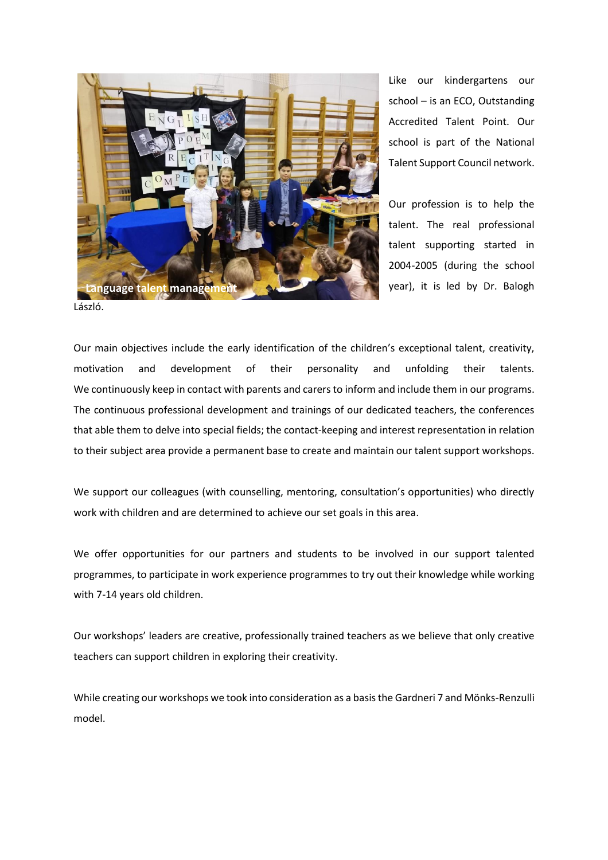

Like our kindergartens our school – is an ECO, Outstanding Accredited Talent Point. Our school is part of the National Talent Support Council network.

Our profession is to help the talent. The real professional talent supporting started in 2004-2005 (during the school year), it is led by Dr. Balogh

László.

Our main objectives include the early identification of the children's exceptional talent, creativity, motivation and development of their personality and unfolding their talents. We continuously keep in contact with parents and carers to inform and include them in our programs. The continuous professional development and trainings of our dedicated teachers, the conferences that able them to delve into special fields; the contact-keeping and interest representation in relation to their subject area provide a permanent base to create and maintain our talent support workshops.

We support our colleagues (with counselling, mentoring, consultation's opportunities) who directly work with children and are determined to achieve our set goals in this area.

We offer opportunities for our partners and students to be involved in our support talented programmes, to participate in work experience programmes to try out their knowledge while working with 7-14 years old children.

Our workshops' leaders are creative, professionally trained teachers as we believe that only creative teachers can support children in exploring their creativity.

While creating our workshops we took into consideration as a basis the Gardneri 7 and Mönks-Renzulli model.